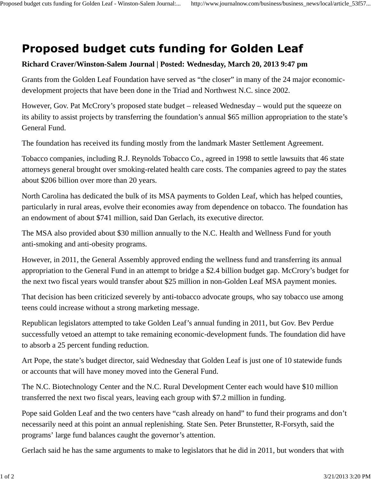## **Proposed budget cuts funding for Golden Leaf**

## **Richard Craver/Winston-Salem Journal | Posted: Wednesday, March 20, 2013 9:47 pm**

Grants from the Golden Leaf Foundation have served as "the closer" in many of the 24 major economicdevelopment projects that have been done in the Triad and Northwest N.C. since 2002.

However, Gov. Pat McCrory's proposed state budget – released Wednesday – would put the squeeze on its ability to assist projects by transferring the foundation's annual \$65 million appropriation to the state's General Fund.

The foundation has received its funding mostly from the landmark Master Settlement Agreement.

Tobacco companies, including R.J. Reynolds Tobacco Co., agreed in 1998 to settle lawsuits that 46 state attorneys general brought over smoking-related health care costs. The companies agreed to pay the states about \$206 billion over more than 20 years.

North Carolina has dedicated the bulk of its MSA payments to Golden Leaf, which has helped counties, particularly in rural areas, evolve their economies away from dependence on tobacco. The foundation has an endowment of about \$741 million, said Dan Gerlach, its executive director.

The MSA also provided about \$30 million annually to the N.C. Health and Wellness Fund for youth anti-smoking and anti-obesity programs.

However, in 2011, the General Assembly approved ending the wellness fund and transferring its annual appropriation to the General Fund in an attempt to bridge a \$2.4 billion budget gap. McCrory's budget for the next two fiscal years would transfer about \$25 million in non-Golden Leaf MSA payment monies.

That decision has been criticized severely by anti-tobacco advocate groups, who say tobacco use among teens could increase without a strong marketing message.

Republican legislators attempted to take Golden Leaf's annual funding in 2011, but Gov. Bev Perdue successfully vetoed an attempt to take remaining economic-development funds. The foundation did have to absorb a 25 percent funding reduction.

Art Pope, the state's budget director, said Wednesday that Golden Leaf is just one of 10 statewide funds or accounts that will have money moved into the General Fund.

The N.C. Biotechnology Center and the N.C. Rural Development Center each would have \$10 million transferred the next two fiscal years, leaving each group with \$7.2 million in funding.

Pope said Golden Leaf and the two centers have "cash already on hand" to fund their programs and don't necessarily need at this point an annual replenishing. State Sen. Peter Brunstetter, R-Forsyth, said the programs' large fund balances caught the governor's attention.

Gerlach said he has the same arguments to make to legislators that he did in 2011, but wonders that with